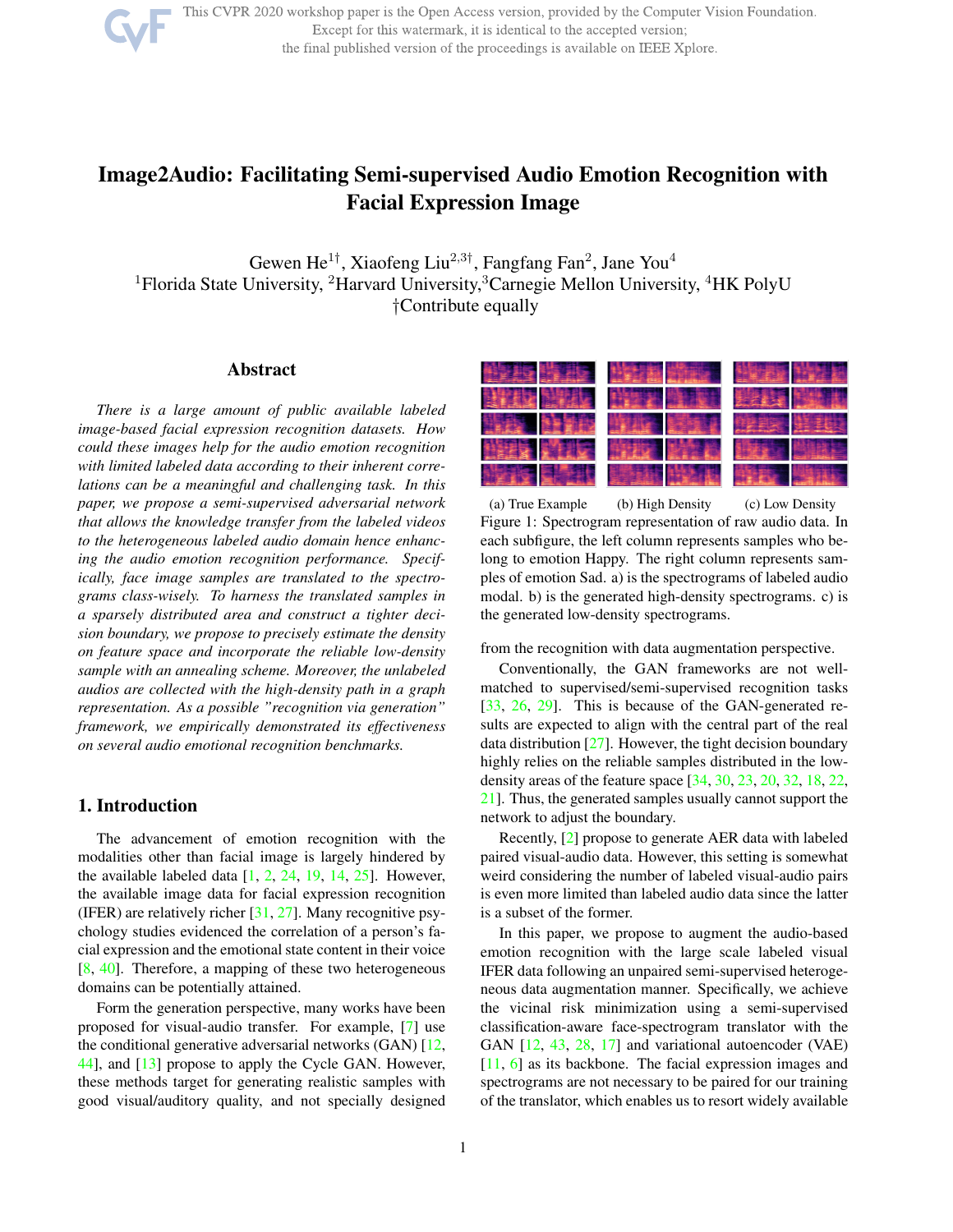

This CVPR 2020 workshop paper is the Open Access version, provided by the Computer Vision Foundation. Except for this watermark, it is identical to the accepted version; the final published version of the proceedings is available on IEEE Xplore.

# Image2Audio: Facilitating Semi-supervised Audio Emotion Recognition with Facial Expression Image

Gewen He<sup>1†</sup>, Xiaofeng Liu<sup>2,3†</sup>, Fangfang Fan<sup>2</sup>, Jane You<sup>4</sup> <sup>1</sup>Florida State University, <sup>2</sup>Harvard University, <sup>3</sup>Carnegie Mellon University, <sup>4</sup>HK PolyU †Contribute equally

## Abstract

*There is a large amount of public available labeled image-based facial expression recognition datasets. How could these images help for the audio emotion recognition with limited labeled data according to their inherent correlations can be a meaningful and challenging task. In this paper, we propose a semi-supervised adversarial network that allows the knowledge transfer from the labeled videos to the heterogeneous labeled audio domain hence enhancing the audio emotion recognition performance. Specifically, face image samples are translated to the spectrograms class-wisely. To harness the translated samples in a sparsely distributed area and construct a tighter decision boundary, we propose to precisely estimate the density on feature space and incorporate the reliable low-density sample with an annealing scheme. Moreover, the unlabeled audios are collected with the high-density path in a graph representation. As a possible "recognition via generation" framework, we empirically demonstrated its effectiveness on several audio emotional recognition benchmarks.*

## 1. Introduction

The advancement of emotion recognition with the modalities other than facial image is largely hindered by the available labeled data  $[1, 2, 24, 19, 14, 25]$ . However, the available image data for facial expression recognition (IFER) are relatively richer  $[31, 27]$ . Many recognitive psychology studies evidenced the correlation of a person's facial expression and the emotional state content in their voice [8, 40]. Therefore, a mapping of these two heterogeneous domains can be potentially attained.

Form the generation perspective, many works have been proposed for visual-audio transfer. For example, [7] use the conditional generative adversarial networks (GAN) [12, 44], and [13] propose to apply the Cycle GAN. However, these methods target for generating realistic samples with good visual/auditory quality, and not specially designed



(a) True Example (b) High Density (c) Low Density Figure 1: Spectrogram representation of raw audio data. In each subfigure, the left column represents samples who belong to emotion Happy. The right column represents samples of emotion Sad. a) is the spectrograms of labeled audio modal. b) is the generated high-density spectrograms. c) is the generated low-density spectrograms.

from the recognition with data augmentation perspective.

Conventionally, the GAN frameworks are not wellmatched to supervised/semi-supervised recognition tasks [33, 26, 29]. This is because of the GAN-generated results are expected to align with the central part of the real data distribution  $[27]$ . However, the tight decision boundary highly relies on the reliable samples distributed in the lowdensity areas of the feature space [34, 30, 23, 20, 32, 18, 22, 21]. Thus, the generated samples usually cannot support the network to adjust the boundary.

Recently, [2] propose to generate AER data with labeled paired visual-audio data. However, this setting is somewhat weird considering the number of labeled visual-audio pairs is even more limited than labeled audio data since the latter is a subset of the former.

In this paper, we propose to augment the audio-based emotion recognition with the large scale labeled visual IFER data following an unpaired semi-supervised heterogeneous data augmentation manner. Specifically, we achieve the vicinal risk minimization using a semi-supervised classification-aware face-spectrogram translator with the GAN [12, 43, 28, 17] and variational autoencoder (VAE) [11, 6] as its backbone. The facial expression images and spectrograms are not necessary to be paired for our training of the translator, which enables us to resort widely available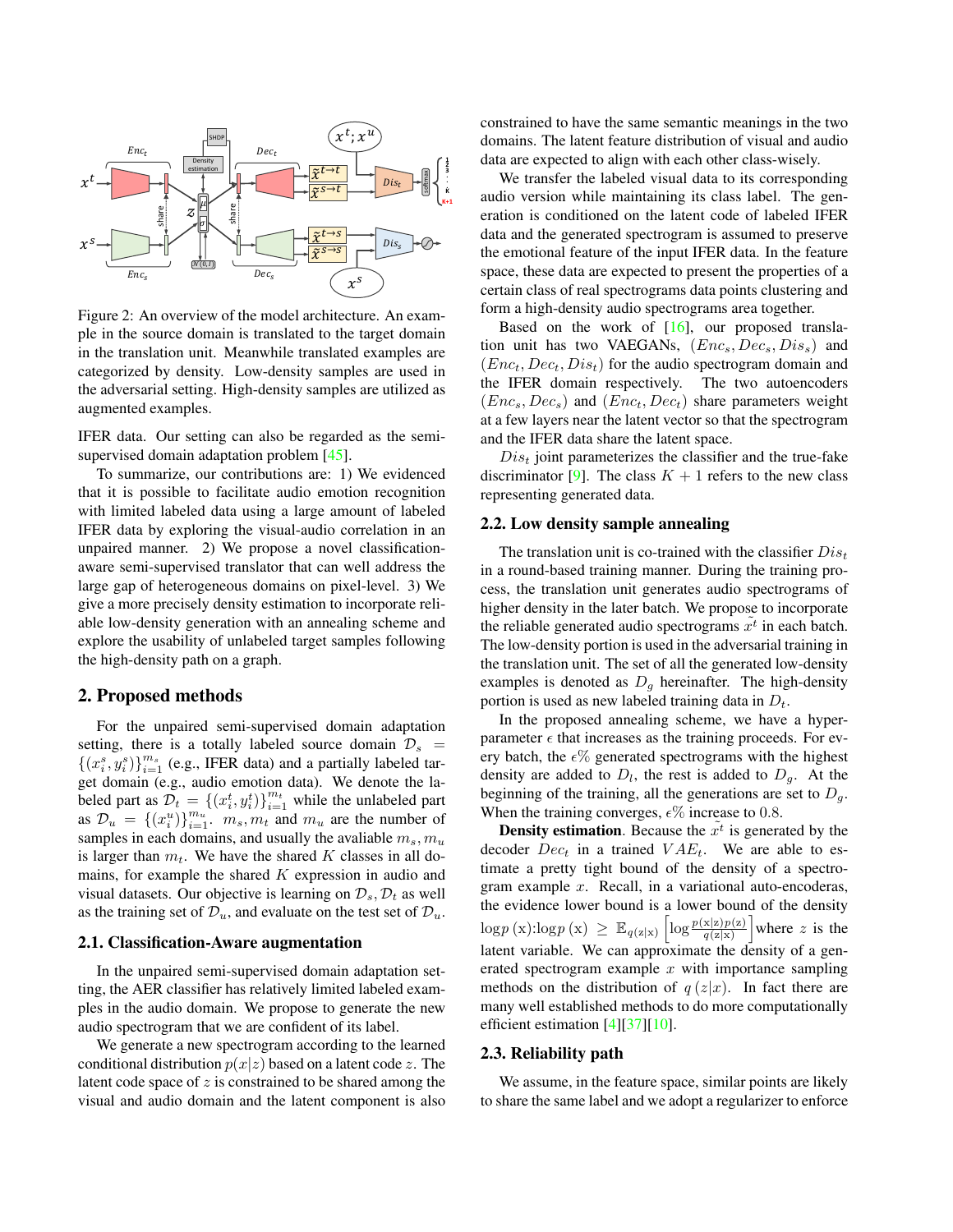

Figure 2: An overview of the model architecture. An example in the source domain is translated to the target domain in the translation unit. Meanwhile translated examples are categorized by density. Low-density samples are used in the adversarial setting. High-density samples are utilized as augmented examples.

IFER data. Our setting can also be regarded as the semisupervised domain adaptation problem [45].

To summarize, our contributions are: 1) We evidenced that it is possible to facilitate audio emotion recognition with limited labeled data using a large amount of labeled IFER data by exploring the visual-audio correlation in an unpaired manner. 2) We propose a novel classificationaware semi-supervised translator that can well address the large gap of heterogeneous domains on pixel-level. 3) We give a more precisely density estimation to incorporate reliable low-density generation with an annealing scheme and explore the usability of unlabeled target samples following the high-density path on a graph.

### 2. Proposed methods

For the unpaired semi-supervised domain adaptation setting, there is a totally labeled source domain  $\mathcal{D}_s$  =  $\{(x_i^s, y_i^s)\}_{i=1}^{m_s}$  (e.g., IFER data) and a partially labeled target domain (e.g., audio emotion data). We denote the labeled part as  $\mathcal{D}_t = \left\{ (x_i^t, y_i^t) \right\}_{i=1}^{m_t}$  while the unlabeled part as  $\mathcal{D}_u = \{(x_i^u)\}_{i=1}^{m_u}$ ,  $m_s, m_t$  and  $m_u$  are the number of samples in each domains, and usually the avaliable  $m_s$ ,  $m_u$ is larger than  $m_t$ . We have the shared K classes in all domains, for example the shared  $K$  expression in audio and visual datasets. Our objective is learning on  $\mathcal{D}_s$ ,  $\mathcal{D}_t$  as well as the training set of  $\mathcal{D}_u$ , and evaluate on the test set of  $\mathcal{D}_u$ .

#### 2.1. Classification-Aware augmentation

In the unpaired semi-supervised domain adaptation setting, the AER classifier has relatively limited labeled examples in the audio domain. We propose to generate the new audio spectrogram that we are confident of its label.

We generate a new spectrogram according to the learned conditional distribution  $p(x|z)$  based on a latent code z. The latent code space of  $z$  is constrained to be shared among the visual and audio domain and the latent component is also

constrained to have the same semantic meanings in the two domains. The latent feature distribution of visual and audio data are expected to align with each other class-wisely.

We transfer the labeled visual data to its corresponding audio version while maintaining its class label. The generation is conditioned on the latent code of labeled IFER data and the generated spectrogram is assumed to preserve the emotional feature of the input IFER data. In the feature space, these data are expected to present the properties of a certain class of real spectrograms data points clustering and form a high-density audio spectrograms area together.

Based on the work of  $[16]$ , our proposed translation unit has two VAEGANs,  $(Enc_s, Dec_s, Dis_s)$  and  $(Enc_t, Dec_t, Dis_t)$  for the audio spectrogram domain and the IFER domain respectively. The two autoencoders  $(Enc<sub>s</sub>, Dec<sub>s</sub>)$  and  $(Enc<sub>t</sub>, Dec<sub>t</sub>)$  share parameters weight at a few layers near the latent vector so that the spectrogram and the IFER data share the latent space.

 $Dis<sub>t</sub>$  joint parameterizes the classifier and the true-fake discriminator [9]. The class  $K + 1$  refers to the new class representing generated data.

#### 2.2. Low density sample annealing

The translation unit is co-trained with the classifier  $Dis<sub>t</sub>$ in a round-based training manner. During the training process, the translation unit generates audio spectrograms of higher density in the later batch. We propose to incorporate the reliable generated audio spectrograms  $\tilde{x}^t$  in each batch. The low-density portion is used in the adversarial training in the translation unit. The set of all the generated low-density examples is denoted as  $D<sub>q</sub>$  hereinafter. The high-density portion is used as new labeled training data in  $D_t$ .

In the proposed annealing scheme, we have a hyperparameter  $\epsilon$  that increases as the training proceeds. For every batch, the  $\epsilon\%$  generated spectrograms with the highest density are added to  $D_l$ , the rest is added to  $D_g$ . At the beginning of the training, all the generations are set to  $D_g$ . When the training converges,  $\epsilon\%$  increase to 0.8.

**Density estimation**. Because the  $\tilde{x}^t$  is generated by the decoder  $Dec_t$  in a trained  $VAE_t$ . We are able to estimate a pretty tight bound of the density of a spectrogram example x. Recall, in a variational auto-encoderas, the evidence lower bound is a lower bound of the density  $\log p(x)$ : $\log p(x) \geq \mathbb{E}_{q(z|x)} \left[ \log \frac{p(x|z)p(z)}{q(z|x)} \right]$  where z is the latent variable. We can approximate the density of a generated spectrogram example  $x$  with importance sampling methods on the distribution of  $q(z|x)$ . In fact there are many well established methods to do more computationally efficient estimation  $[4][37][10]$ .

#### 2.3. Reliability path

We assume, in the feature space, similar points are likely to share the same label and we adopt a regularizer to enforce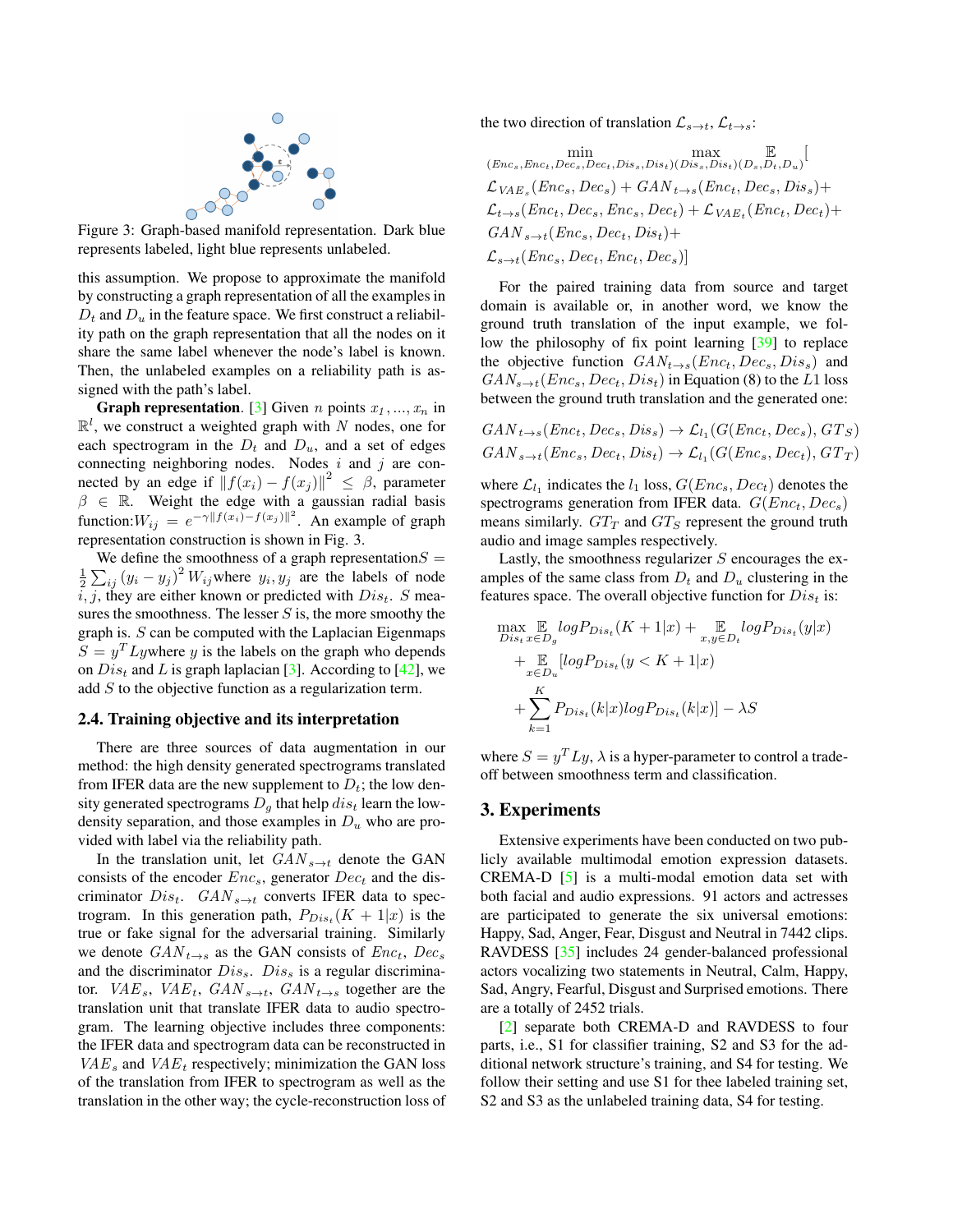

Figure 3: Graph-based manifold representation. Dark blue represents labeled, light blue represents unlabeled.

this assumption. We propose to approximate the manifold by constructing a graph representation of all the examples in  $D_t$  and  $D_u$  in the feature space. We first construct a reliability path on the graph representation that all the nodes on it share the same label whenever the node's label is known. Then, the unlabeled examples on a reliability path is assigned with the path's label.

**Graph representation.** [3] Given *n* points  $x_1, ..., x_n$  in  $\mathbb{R}^l$ , we construct a weighted graph with N nodes, one for each spectrogram in the  $D_t$  and  $D_u$ , and a set of edges connecting neighboring nodes. Nodes  $i$  and  $j$  are connected by an edge if  $|| f(x_i) - f(x_j) ||^2 \le \beta$ , parameter  $\beta \in \mathbb{R}$ . Weight the edge with a gaussian radial basis function:  $W_{ij} = e^{-\gamma ||f(x_i) - f(x_j)||^2}$ . An example of graph representation construction is shown in Fig. 3.

We define the smoothness of a graph representation  $S =$  $\frac{1}{2}\sum_{ij}(y_i - y_j)^2 W_{ij}$  where  $y_i, y_j$  are the labels of node  $i, j$ , they are either known or predicted with  $Dis_t$ . S measures the smoothness. The lesser  $S$  is, the more smoothy the graph is.  $S$  can be computed with the Laplacian Eigenmaps  $S = y<sup>T</sup>Lywhere y$  is the labels on the graph who depends on  $Dis<sub>t</sub>$  and L is graph laplacian [3]. According to [42], we add S to the objective function as a regularization term.

#### 2.4. Training objective and its interpretation

There are three sources of data augmentation in our method: the high density generated spectrograms translated from IFER data are the new supplement to  $D_t$ ; the low density generated spectrograms  $D<sub>g</sub>$  that help  $dis<sub>t</sub>$  learn the lowdensity separation, and those examples in  $D<sub>u</sub>$  who are provided with label via the reliability path.

In the translation unit, let  $GAN_{s\rightarrow t}$  denote the GAN consists of the encoder  $Enc_s$ , generator  $Dec_t$  and the discriminator  $Dis_t$ .  $GAN_{s\rightarrow t}$  converts IFER data to spectrogram. In this generation path,  $P_{Dis_t}(K + 1|x)$  is the true or fake signal for the adversarial training. Similarly we denote  $GAN_{t\rightarrow s}$  as the GAN consists of  $Enc_t$ ,  $Dec_s$ and the discriminator  $Dis<sub>s</sub>$ .  $Dis<sub>s</sub>$  is a regular discriminator.  $VAE_s$ ,  $VAE_t$ ,  $GAN_{s\rightarrow t}$ ,  $GAN_{t\rightarrow s}$  together are the translation unit that translate IFER data to audio spectrogram. The learning objective includes three components: the IFER data and spectrogram data can be reconstructed in  $VAE<sub>s</sub>$  and  $VAE<sub>t</sub>$  respectively; minimization the GAN loss of the translation from IFER to spectrogram as well as the translation in the other way; the cycle-reconstruction loss of the two direction of translation  $\mathcal{L}_{s\to t}$ ,  $\mathcal{L}_{t\to s}$ :

 $\min_{(Enc_s, Enc_t, Dec_s, Dec_t,Dis_s,Dis_t)} \max_{(Disc_s,Enc_t,Dec_s,Dec_t,Dis_s,Dis_t)}$  $\overline{\mathbb{E}}$  $\mathbb{E}_{(D_s,D_t,D_u)}$  $\mathcal{L}_{VAE_s}(Enc_s, Dec_s) + \textit{GAN}_{t \rightarrow s}(Enc_t, Dec_s, Dis_s) +$  $\mathcal{L}_{t\rightarrow s}(Enc_t, Dec_s, Enc_s, Dec_t) + \mathcal{L}_{VAE_t}(Enc_t, Dec_t) +$  $GAN_{s\rightarrow t}(Enc_s, Dec_t, Dis_t) +$  $\mathcal{L}_{s\to t}(Enc_s, Dec_t,Enc_t,Dec_s)]$ 

For the paired training data from source and target domain is available or, in another word, we know the ground truth translation of the input example, we follow the philosophy of fix point learning [39] to replace the objective function  $GAN_{t\rightarrow s}(Enc_t, Dec_s, Dis_s)$  and  $GAN_{s\rightarrow t}(Enc_s, Dec_t, Dis_t)$  in Equation (8) to the L1 loss between the ground truth translation and the generated one:

$$
GAN_{t \to s}(Enc_t, Dec_s, Dis_s) \to \mathcal{L}_{l_1}(G(Enc_t, Dec_s), GT_s)
$$
  

$$
GAN_{s \to t}(Enc_s, Dec_t, Dis_t) \to \mathcal{L}_{l_1}(G(Enc_s, Dec_t), GT_T)
$$

where  $\mathcal{L}_{l_1}$  indicates the  $l_1$  loss,  $G(Enc_s, Dec_t)$  denotes the spectrograms generation from IFER data.  $G(Enc_t, Dec_s)$ means similarly.  $GT_T$  and  $GT_S$  represent the ground truth audio and image samples respectively.

Lastly, the smoothness regularizer  $S$  encourages the examples of the same class from  $D_t$  and  $D_u$  clustering in the features space. The overall objective function for  $Dis<sub>t</sub>$  is:

$$
\max_{Dis_t x \in D_g} \mathbb{E}_{logP_{Dist}}(K+1|x) + \mathbb{E}_{x, y \in D_t} logP_{Dist}(y|x)
$$
  
+  $\mathbb{E}_{x \in D_u} [logP_{Dist}(y < K+1|x)$   
+  $\sum_{k=1}^{K} P_{Dist}(k|x) logP_{Dist}(k|x)] - \lambda S$ 

where  $S = y^T L y$ ,  $\lambda$  is a hyper-parameter to control a tradeoff between smoothness term and classification.

## 3. Experiments

Extensive experiments have been conducted on two publicly available multimodal emotion expression datasets. CREMA-D [5] is a multi-modal emotion data set with both facial and audio expressions. 91 actors and actresses are participated to generate the six universal emotions: Happy, Sad, Anger, Fear, Disgust and Neutral in 7442 clips. RAVDESS [35] includes 24 gender-balanced professional actors vocalizing two statements in Neutral, Calm, Happy, Sad, Angry, Fearful, Disgust and Surprised emotions. There are a totally of 2452 trials.

[2] separate both CREMA-D and RAVDESS to four parts, i.e., S1 for classifier training, S2 and S3 for the additional network structure's training, and S4 for testing. We follow their setting and use S1 for thee labeled training set, S2 and S3 as the unlabeled training data, S4 for testing.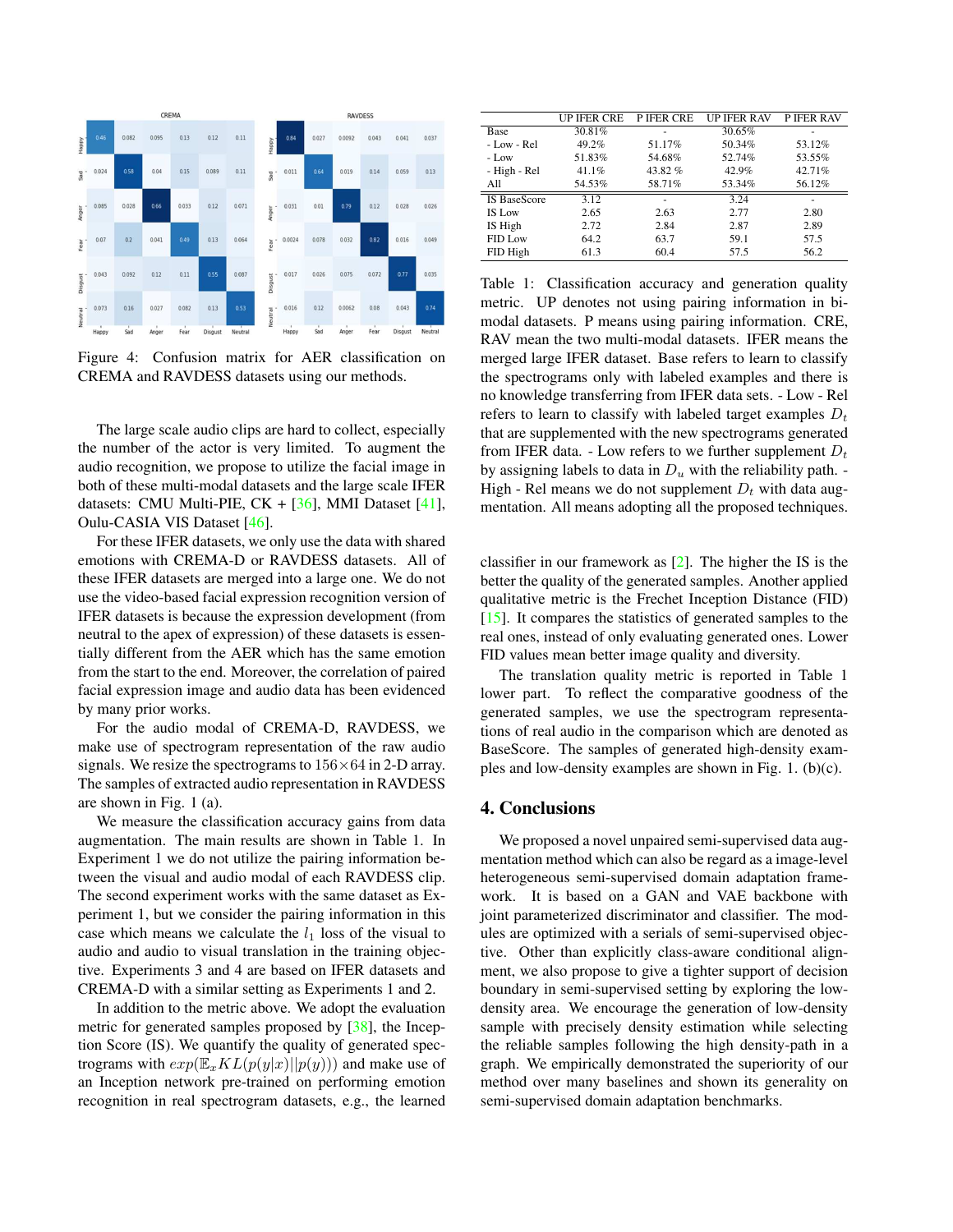

Figure 4: Confusion matrix for AER classification on CREMA and RAVDESS datasets using our methods.

The large scale audio clips are hard to collect, especially the number of the actor is very limited. To augment the audio recognition, we propose to utilize the facial image in both of these multi-modal datasets and the large scale IFER datasets: CMU Multi-PIE,  $CK + [36]$ , MMI Dataset [41], Oulu-CASIA VIS Dataset [46].

For these IFER datasets, we only use the data with shared emotions with CREMA-D or RAVDESS datasets. All of these IFER datasets are merged into a large one. We do not use the video-based facial expression recognition version of IFER datasets is because the expression development (from neutral to the apex of expression) of these datasets is essentially different from the AER which has the same emotion from the start to the end. Moreover, the correlation of paired facial expression image and audio data has been evidenced by many prior works.

For the audio modal of CREMA-D, RAVDESS, we make use of spectrogram representation of the raw audio signals. We resize the spectrograms to  $156\times64$  in 2-D array. The samples of extracted audio representation in RAVDESS are shown in Fig. 1 (a).

We measure the classification accuracy gains from data augmentation. The main results are shown in Table 1. In Experiment 1 we do not utilize the pairing information between the visual and audio modal of each RAVDESS clip. The second experiment works with the same dataset as Experiment 1, but we consider the pairing information in this case which means we calculate the  $l_1$  loss of the visual to audio and audio to visual translation in the training objective. Experiments 3 and 4 are based on IFER datasets and CREMA-D with a similar setting as Experiments 1 and 2.

In addition to the metric above. We adopt the evaluation metric for generated samples proposed by [38], the Inception Score (IS). We quantify the quality of generated spectrograms with  $exp(\mathbb{E}_x KL(p(y|x)||p(y)))$  and make use of an Inception network pre-trained on performing emotion recognition in real spectrogram datasets, e.g., the learned

|                     | <b>UP IFER CRE</b> | P IFER CRE | <b>UP IFER RAV</b> | <b>P IFER RAV</b> |
|---------------------|--------------------|------------|--------------------|-------------------|
| Base                | 30.81%             |            | 30.65%             |                   |
| $-Low - Rel$        | $49.2\%$           | 51.17%     | 50.34%             | 53.12%            |
| $-Low$              | 51.83%             | 54.68%     | 52.74%             | 53.55%            |
| - High - Rel        | $41.1\%$           | 43.82%     | 42.9%              | 42.71%            |
| All                 | 54.53%             | 58.71%     | 53.34%             | 56.12%            |
| <b>IS BaseScore</b> | 3.12               |            | 3.24               |                   |
| <b>IS Low</b>       | 2.65               | 2.63       | 2.77               | 2.80              |
| IS High             | 2.72               | 2.84       | 2.87               | 2.89              |
| FID Low             | 64.2               | 63.7       | 59.1               | 57.5              |
| FID High            | 61.3               | 60.4       | 57.5               | 56.2              |

Table 1: Classification accuracy and generation quality metric. UP denotes not using pairing information in bimodal datasets. P means using pairing information. CRE, RAV mean the two multi-modal datasets. IFER means the merged large IFER dataset. Base refers to learn to classify the spectrograms only with labeled examples and there is no knowledge transferring from IFER data sets. - Low - Rel refers to learn to classify with labeled target examples  $D_t$ that are supplemented with the new spectrograms generated from IFER data. - Low refers to we further supplement  $D_t$ by assigning labels to data in  $D_u$  with the reliability path. -High - Rel means we do not supplement  $D_t$  with data augmentation. All means adopting all the proposed techniques.

classifier in our framework as [2]. The higher the IS is the better the quality of the generated samples. Another applied qualitative metric is the Frechet Inception Distance (FID) [15]. It compares the statistics of generated samples to the real ones, instead of only evaluating generated ones. Lower FID values mean better image quality and diversity.

The translation quality metric is reported in Table 1 lower part. To reflect the comparative goodness of the generated samples, we use the spectrogram representations of real audio in the comparison which are denoted as BaseScore. The samples of generated high-density examples and low-density examples are shown in Fig. 1. (b)(c).

#### 4. Conclusions

We proposed a novel unpaired semi-supervised data augmentation method which can also be regard as a image-level heterogeneous semi-supervised domain adaptation framework. It is based on a GAN and VAE backbone with joint parameterized discriminator and classifier. The modules are optimized with a serials of semi-supervised objective. Other than explicitly class-aware conditional alignment, we also propose to give a tighter support of decision boundary in semi-supervised setting by exploring the lowdensity area. We encourage the generation of low-density sample with precisely density estimation while selecting the reliable samples following the high density-path in a graph. We empirically demonstrated the superiority of our method over many baselines and shown its generality on semi-supervised domain adaptation benchmarks.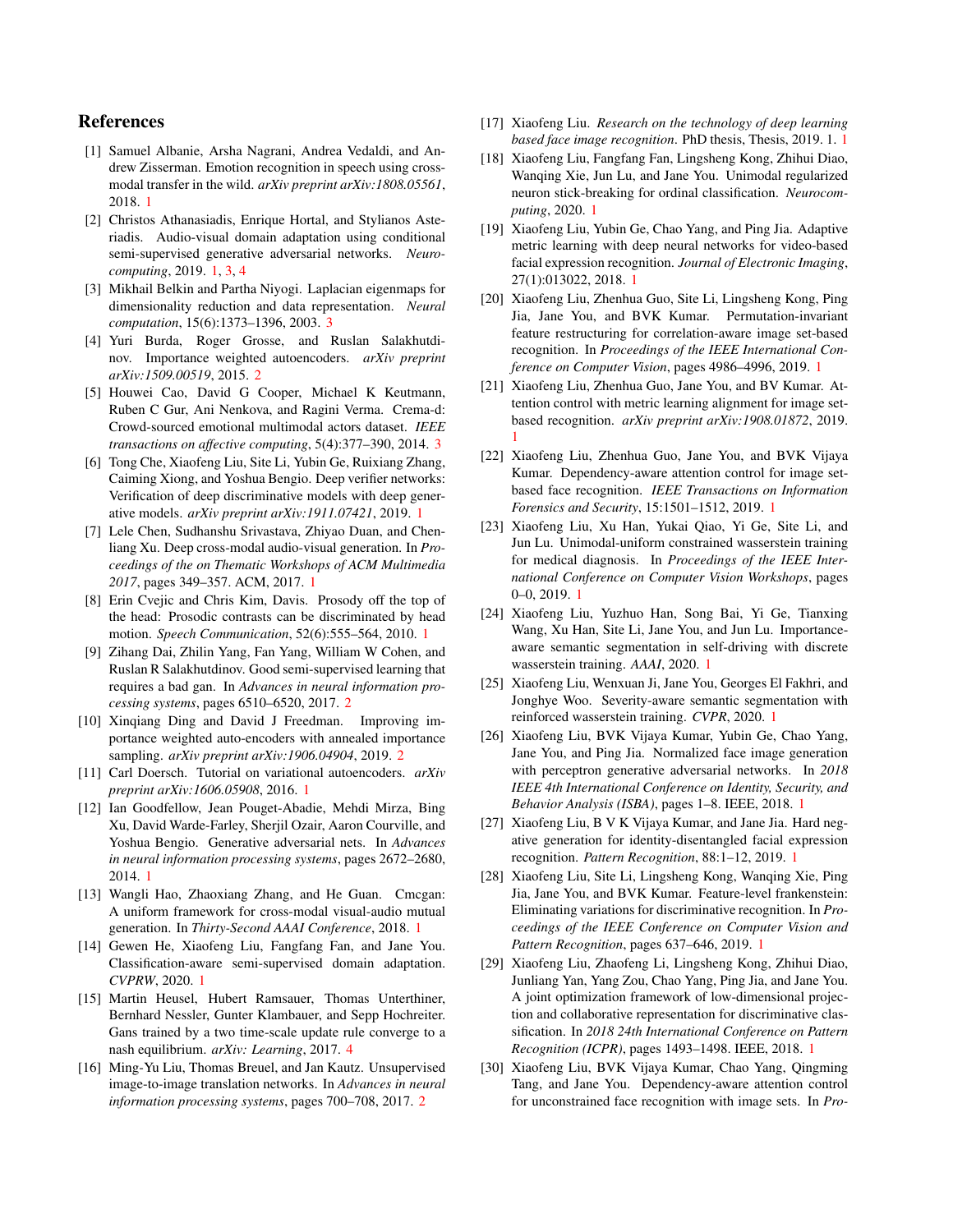## References

- [1] Samuel Albanie, Arsha Nagrani, Andrea Vedaldi, and Andrew Zisserman. Emotion recognition in speech using crossmodal transfer in the wild. *arXiv preprint arXiv:1808.05561*, 2018. 1
- [2] Christos Athanasiadis, Enrique Hortal, and Stylianos Asteriadis. Audio-visual domain adaptation using conditional semi-supervised generative adversarial networks. *Neurocomputing*, 2019. 1, 3, 4
- [3] Mikhail Belkin and Partha Niyogi. Laplacian eigenmaps for dimensionality reduction and data representation. *Neural computation*, 15(6):1373–1396, 2003. 3
- [4] Yuri Burda, Roger Grosse, and Ruslan Salakhutdinov. Importance weighted autoencoders. *arXiv preprint arXiv:1509.00519*, 2015. 2
- [5] Houwei Cao, David G Cooper, Michael K Keutmann, Ruben C Gur, Ani Nenkova, and Ragini Verma. Crema-d: Crowd-sourced emotional multimodal actors dataset. *IEEE transactions on affective computing*, 5(4):377–390, 2014. 3
- [6] Tong Che, Xiaofeng Liu, Site Li, Yubin Ge, Ruixiang Zhang, Caiming Xiong, and Yoshua Bengio. Deep verifier networks: Verification of deep discriminative models with deep generative models. *arXiv preprint arXiv:1911.07421*, 2019. 1
- [7] Lele Chen, Sudhanshu Srivastava, Zhiyao Duan, and Chenliang Xu. Deep cross-modal audio-visual generation. In *Proceedings of the on Thematic Workshops of ACM Multimedia 2017*, pages 349–357. ACM, 2017. 1
- [8] Erin Cvejic and Chris Kim, Davis. Prosody off the top of the head: Prosodic contrasts can be discriminated by head motion. *Speech Communication*, 52(6):555–564, 2010. 1
- [9] Zihang Dai, Zhilin Yang, Fan Yang, William W Cohen, and Ruslan R Salakhutdinov. Good semi-supervised learning that requires a bad gan. In *Advances in neural information processing systems*, pages 6510–6520, 2017. 2
- [10] Xinqiang Ding and David J Freedman. Improving importance weighted auto-encoders with annealed importance sampling. *arXiv preprint arXiv:1906.04904*, 2019. 2
- [11] Carl Doersch. Tutorial on variational autoencoders. *arXiv preprint arXiv:1606.05908*, 2016. 1
- [12] Ian Goodfellow, Jean Pouget-Abadie, Mehdi Mirza, Bing Xu, David Warde-Farley, Sherjil Ozair, Aaron Courville, and Yoshua Bengio. Generative adversarial nets. In *Advances in neural information processing systems*, pages 2672–2680, 2014. 1
- [13] Wangli Hao, Zhaoxiang Zhang, and He Guan. Cmcgan: A uniform framework for cross-modal visual-audio mutual generation. In *Thirty-Second AAAI Conference*, 2018. 1
- [14] Gewen He, Xiaofeng Liu, Fangfang Fan, and Jane You. Classification-aware semi-supervised domain adaptation. *CVPRW*, 2020. 1
- [15] Martin Heusel, Hubert Ramsauer, Thomas Unterthiner, Bernhard Nessler, Gunter Klambauer, and Sepp Hochreiter. Gans trained by a two time-scale update rule converge to a nash equilibrium. *arXiv: Learning*, 2017. 4
- [16] Ming-Yu Liu, Thomas Breuel, and Jan Kautz. Unsupervised image-to-image translation networks. In *Advances in neural information processing systems*, pages 700–708, 2017. 2
- [17] Xiaofeng Liu. *Research on the technology of deep learning based face image recognition*. PhD thesis, Thesis, 2019. 1. 1
- [18] Xiaofeng Liu, Fangfang Fan, Lingsheng Kong, Zhihui Diao, Wanqing Xie, Jun Lu, and Jane You. Unimodal regularized neuron stick-breaking for ordinal classification. *Neurocomputing*, 2020. 1
- [19] Xiaofeng Liu, Yubin Ge, Chao Yang, and Ping Jia. Adaptive metric learning with deep neural networks for video-based facial expression recognition. *Journal of Electronic Imaging*, 27(1):013022, 2018. 1
- [20] Xiaofeng Liu, Zhenhua Guo, Site Li, Lingsheng Kong, Ping Jia, Jane You, and BVK Kumar. Permutation-invariant feature restructuring for correlation-aware image set-based recognition. In *Proceedings of the IEEE International Conference on Computer Vision*, pages 4986–4996, 2019. 1
- [21] Xiaofeng Liu, Zhenhua Guo, Jane You, and BV Kumar. Attention control with metric learning alignment for image setbased recognition. *arXiv preprint arXiv:1908.01872*, 2019. 1
- [22] Xiaofeng Liu, Zhenhua Guo, Jane You, and BVK Vijaya Kumar. Dependency-aware attention control for image setbased face recognition. *IEEE Transactions on Information Forensics and Security*, 15:1501–1512, 2019. 1
- [23] Xiaofeng Liu, Xu Han, Yukai Qiao, Yi Ge, Site Li, and Jun Lu. Unimodal-uniform constrained wasserstein training for medical diagnosis. In *Proceedings of the IEEE International Conference on Computer Vision Workshops*, pages 0–0, 2019. 1
- [24] Xiaofeng Liu, Yuzhuo Han, Song Bai, Yi Ge, Tianxing Wang, Xu Han, Site Li, Jane You, and Jun Lu. Importanceaware semantic segmentation in self-driving with discrete wasserstein training. *AAAI*, 2020. 1
- [25] Xiaofeng Liu, Wenxuan Ji, Jane You, Georges El Fakhri, and Jonghye Woo. Severity-aware semantic segmentation with reinforced wasserstein training. *CVPR*, 2020. 1
- [26] Xiaofeng Liu, BVK Vijaya Kumar, Yubin Ge, Chao Yang, Jane You, and Ping Jia. Normalized face image generation with perceptron generative adversarial networks. In *2018 IEEE 4th International Conference on Identity, Security, and Behavior Analysis (ISBA)*, pages 1–8. IEEE, 2018. 1
- [27] Xiaofeng Liu, B V K Vijaya Kumar, and Jane Jia. Hard negative generation for identity-disentangled facial expression recognition. *Pattern Recognition*, 88:1–12, 2019. 1
- [28] Xiaofeng Liu, Site Li, Lingsheng Kong, Wanqing Xie, Ping Jia, Jane You, and BVK Kumar. Feature-level frankenstein: Eliminating variations for discriminative recognition. In *Proceedings of the IEEE Conference on Computer Vision and Pattern Recognition*, pages 637–646, 2019. 1
- [29] Xiaofeng Liu, Zhaofeng Li, Lingsheng Kong, Zhihui Diao, Junliang Yan, Yang Zou, Chao Yang, Ping Jia, and Jane You. A joint optimization framework of low-dimensional projection and collaborative representation for discriminative classification. In *2018 24th International Conference on Pattern Recognition (ICPR)*, pages 1493–1498. IEEE, 2018. 1
- [30] Xiaofeng Liu, BVK Vijaya Kumar, Chao Yang, Qingming Tang, and Jane You. Dependency-aware attention control for unconstrained face recognition with image sets. In *Pro-*